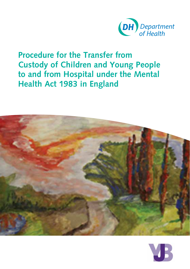

# **Procedure for the Transfer from Custody of Children and Young People to and from Hospital under the Mental Health Act 1983 in England**

![](_page_0_Picture_2.jpeg)

![](_page_0_Picture_3.jpeg)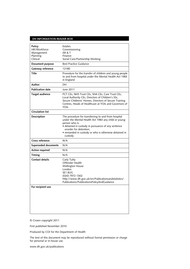#### **DH Information Reader BOX**

| Policy<br>HR/Workforce<br>Management<br>Planning<br>Clinical | Estates<br>Commissioning<br><b>IM &amp; T</b><br>Finance<br>Social Care/Partnership Working                                                                                                                                                                                       |
|--------------------------------------------------------------|-----------------------------------------------------------------------------------------------------------------------------------------------------------------------------------------------------------------------------------------------------------------------------------|
| Document purpose                                             | <b>Best Practice Guidance</b>                                                                                                                                                                                                                                                     |
| Gateway reference                                            | 12180                                                                                                                                                                                                                                                                             |
| Title                                                        | Procedure for the transfer of children and young people<br>to and from hospital under the Mental Health Act 1983<br>in England                                                                                                                                                    |
| Author                                                       | DH                                                                                                                                                                                                                                                                                |
| <b>Publication date</b>                                      | June 2011                                                                                                                                                                                                                                                                         |
| <b>Target audience</b>                                       | PCT CEs, NHS Trust CEs, SHA CEs, Care Trust CEs,<br>Local Authority CEs, Directors of Children's SSs,<br>Secure Childrens' Homes, Directors of Secure Training<br>Centres, Heads of Healthcare at YOIs and Governors of<br>YOIs                                                   |
| <b>Circulation list</b>                                      |                                                                                                                                                                                                                                                                                   |
| Description                                                  | The procedure for transferring to and from hospital<br>under the Mental Health Act 1983 any child or young<br>person who is:<br>· detained in custody in pursuance of any sentence<br>ororder for detention:<br>• remanded in custody or who is otherwise detained in<br>custody. |
| Cross reference                                              | N/A                                                                                                                                                                                                                                                                               |
| Superseded documents                                         | N/A                                                                                                                                                                                                                                                                               |
| <b>Action required</b>                                       | N/A                                                                                                                                                                                                                                                                               |
| Timing                                                       | N/A                                                                                                                                                                                                                                                                               |
| <b>Contact details</b>                                       | Carly Tutty<br>Offender Health<br><b>Wellington House</b><br>London<br>SE1 8UG<br>(020) 7972 1302<br>http://www.dh.gov.uk/en/Publicationsandstatistics/<br>Publications/PublicationsPolicyAndGuidance                                                                             |
| For recipient use                                            |                                                                                                                                                                                                                                                                                   |

© Crown copyright 2011

First published November 2010

Produced by COI for the Department of Health

The text of this document may be reproduced without formal permission or charge for personal or in-house use.

www.dh.gov.uk/publications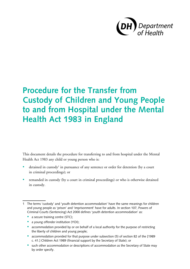![](_page_2_Picture_0.jpeg)

# **Procedure for the Transfer from Custody of Children and Young People to and from Hospital under the Mental Health Act 1983 in England**

This document details the procedure for transferring to and from hospital under the Mental Health Act 1983 any child or young person who is:

- detained in custody<sup>1</sup> in pursuance of any sentence or order for detention (by a court in criminal proceedings); or
- remanded in custody (by a court in criminal proceedings) or who is otherwise detained in custody.

- a secure training centre (STC);
- a young offender institution (YOI);
- accommodation provided by or on behalf of a local authority for the purpose of restricting the liberty of children and young people;
- accommodation provided for that purpose under subsection (5) of section 82 of the [1989 c. 41.] Children Act 1989 (financial support by the Secretary of State); or
- such other accommodation or descriptions of accommodation as the Secretary of State may by order specify.

<sup>1</sup> The terms 'custody' and 'youth detention accommodation' have the same meanings for children and young people as 'prison' and 'imprisonment' have for adults. In section 107, Powers of Criminal Courts (Sentencing) Act 2000 defines 'youth detention accommodation' as: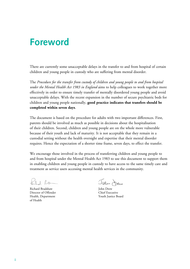# **Foreword**

There are currently some unacceptable delays in the transfer to and from hospital of certain children and young people in custody who are suffering from mental disorder.

The *Procedure for the transfer from custody of children and young people to and from hospital under the Mental Health Act 1983 in England* aims to help colleagues to work together more effectively in order to ensure timely transfer of mentally disordered young people and avoid unacceptable delays. With the recent expansion in the number of secure psychiatric beds for children and young people nationally, **good practice indicates that transfers should be completed within seven days**.

The document is based on the procedure for adults with two important differences. First, parents should be involved as much as possible in decisions about the hospitalisation of their children. Second, children and young people are on the whole more vulnerable because of their youth and lack of maturity. It is not acceptable that they remain in a custodial setting without the health oversight and expertise that their mental disorder requires. Hence the expectation of a shorter time frame, seven days, to effect the transfer.

We encourage those involved in the process of transferring children and young people to and from hospital under the Mental Health Act 1983 to use this document to support them in enabling children and young people in custody to have access to the same timely care and treatment as service users accessing mental health services in the community.

 $l$   $l$ 

Richard Bradshaw Director of Offender Health, Department of Health

Jeen Jew

John Drew Chief Executive Youth Justice Board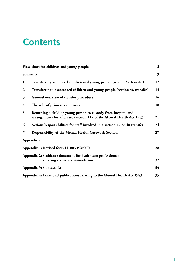# **Contents**

|                                             | Flow chart for children and young people                                                                                                 | $\overline{2}$ |
|---------------------------------------------|------------------------------------------------------------------------------------------------------------------------------------------|----------------|
|                                             | Summary                                                                                                                                  | 9              |
| 1.                                          | Transferring sentenced children and young people (section 47 transfer)                                                                   | 12             |
| 2.                                          | Transferring unsentenced children and young people (section 48 transfer)                                                                 | 14             |
| 3.                                          | General overview of transfer procedure                                                                                                   | 16             |
| 4.                                          | The role of primary care trusts                                                                                                          | 18             |
| 5.                                          | Returning a child or young person to custody from hospital and<br>arrangements for aftercare (section 117 of the Mental Health Act 1983) | 21             |
| 6.                                          | Actions/responsibilities for staff involved in a section 47 or 48 transfer                                                               | 24             |
| 7.                                          | <b>Responsibility of the Mental Health Casework Section</b>                                                                              | 27             |
|                                             | Appendices                                                                                                                               |                |
| Appendix 1: Revised form H1003 (C&YP)<br>28 |                                                                                                                                          |                |
|                                             | Appendix 2: Guidance document for healthcare professionals<br>entering secure accommodation                                              | 32             |
|                                             | 34<br>Appendix 3: Contact list                                                                                                           |                |
|                                             | Appendix 4: Links and publications relating to the Mental Health Act 1983                                                                | 35             |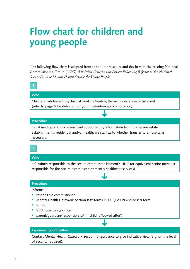# **Flow chart for children and young people**

The following flow chart is adapted from the adult procedure and ties in with the existing National Commissioning Group (NCG) *Admission Criteria and Process Following Referral to the National Secure Forensic Mental Health Service for Young People*.

➜

# **Who**

Child and adolescent psychiatrist working/visiting the secure estate establishment (refer to page 6 for definition of youth detention accommodation)

#### **Procedure**

Initial medical and risk assessment supported by information from the secure estate establishment's residential and/or healthcare staff as to whether transfer to a hospital is necessary.

#### **2**

#### **Who**

HC Admin responsible to the secure estate establishment's HHC (or equivalent senior manager responsible for the secure estate establishment's healthcare services)

➜

#### **Procedure**

Informs:

- responsible commissioner
- Mental Health Casework Section (fax form H1003 (C&YP) and Asset) form
- YJBPS
- YOT supervising officer
- parent/guardian/responsible LA (if child is 'looked after').

#### **Experiencing difficulties**

Contact Mental Health Casework Section for guidance to give indicative view (e.g. on the level of security required).

➜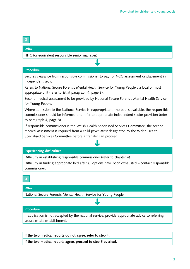#### **Who**

HHC (or equivalent responsible senior manager)

#### **Procedure**

Secures clearance from responsible commissioner to pay for NCG assessment or placement in independent sector.

➜

Refers to National Secure Forensic Mental Health Service for Young People via local or most appropriate unit (refer to list at paragraph 4, page 8).

Second medical assessment to be provided by National Secure Forensic Mental Health Service for Young People.

Where admission to the National Service is inappropriate or no bed is available, the responsible commissioner should be informed and refer to appropriate independent sector provision (refer to paragraph 4, page 8).

If responsible commissioner is the Welsh Health Specialised Services Committee, the second medical assessment is required from a child psychiatrist designated by the Welsh Health Specialised Services Committee before a transfer can proceed.

#### **Experiencing difficulties**

Difficulty in establishing responsible commissioner (refer to chapter 4).

Difficulty in finding appropriate bed after all options have been exhausted – contact responsible commissioner.

➜

#### **Who**

National Secure Forensic Mental Health Service for Young People

#### **Procedure**

If application is not accepted by the national service, provide appropriate advice to referring secure estate establishment.

➜

**If the two medical reports do not agree, refer to step 4.**

**If the two medical reports agree, proceed to step 5 overleaf.**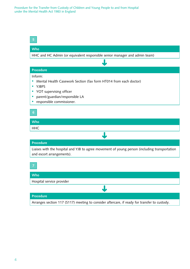| 5                                                                                                                                        |
|------------------------------------------------------------------------------------------------------------------------------------------|
| <b>Who</b>                                                                                                                               |
| HHC and HC Admin (or equivalent responsible senior manager and admin team)                                                               |
|                                                                                                                                          |
| <b>Procedure</b>                                                                                                                         |
| Inform:<br>Mental Health Casework Section (fax form HT014 from each doctor)<br><b>YJBPS</b><br>٠<br>YOT supervising officer<br>$\bullet$ |
| parent/guardian/responsible LA<br>$\bullet$<br>responsible commissioner.                                                                 |
| 6<br><b>Who</b>                                                                                                                          |
| <b>HHC</b>                                                                                                                               |
|                                                                                                                                          |
| <b>Procedure</b>                                                                                                                         |
| Liaises with the hospital and YJB to agree movement of young person (including transportation<br>and escort arrangements).               |
|                                                                                                                                          |
| <b>Who</b>                                                                                                                               |
| Hospital service provider                                                                                                                |

#### **Procedure**

Arranges section 117 (S117) meeting to consider aftercare, if ready for transfer to custody.

➜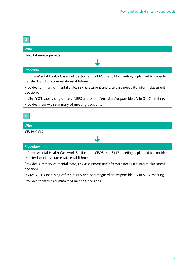#### **Who**

Hospital service provider

#### **Procedure**

Informs Mental Health Casework Section and YJBPS that S117 meeting is planned to consider transfer back to secure estate establishment.

➜

Provides summary of mental state, risk assessment and aftercare needs (to inform placement decision).

Invites YOT supervising officer, YJBPS and parent/guardian/responsible LA to S117 meeting. Provides them with summary of meeting decisions.

### **Who** YJB P&CWS

#### **Procedure**

Informs Mental Health Casework Section and YJBPS that S117 meeting is planned to consider transfer back to secure estate establishment.

➜

Provides summary of mental state, risk assessment and aftercare needs (to inform placement decision).

Invites YOT supervising officer, YJBPS and parent/guardian/responsible LA to S117 meeting. Provides them with summary of meeting decisions.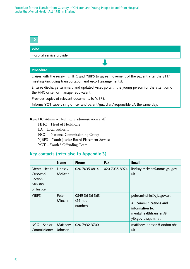**10**

#### **Who**

Hospital service provider

#### **Procedure**

Liaises with the receiving HHC and YJBPS to agree movement of the patient after the S117 meeting (including transportation and escort arrangements).

➜

Ensures discharge summary and updated Asset go with the young person for the attention of the HHC or senior manager equivalent.

Provides copies of relevant documents to YJBPS.

Informs YOT supervising officer and parent/guardian/responsible LA the same day.

#### **Key:** HC Admin − Healthcare administration staff

HHC - Head of Healthcare

LA – Local authority

NCG − National Commissioning Group

YJBPS − Youth Justice Board Placement Service

YOT - Youth \ Offending Team

#### **Key contacts (refer also to Appendix 3)**

|                                                                 | <b>Name</b>        | Phone                                 | Fax           | Email                                                                                                                  |
|-----------------------------------------------------------------|--------------------|---------------------------------------|---------------|------------------------------------------------------------------------------------------------------------------------|
| Mental Health<br>Casework<br>Section,<br>Ministry<br>of Justice | Lindsay<br>McKean  | 020 7035 0814                         | 020 7035 8074 | lindsay.mckean@noms.gsi.gov.<br>uk                                                                                     |
| <b>YJBPS</b>                                                    | Peter<br>Minchin   | 0845 36 36 363<br>(24-hour<br>number) |               | peter.minchin@yjb.gov.uk<br>All communications and<br>information to:<br>mentalhealthtransfers@<br>yjb.gov.uk.cjsm.net |
| NCG - Senior<br>Commissioner                                    | Matthew<br>Johnson | 020 7932 3700                         |               | matthew.johnson@london.nhs.<br>uk                                                                                      |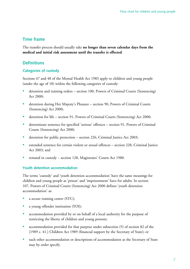# **Time frame**

The transfer process should usually take **no longer than seven calendar days from the medical and initial risk assessment until the transfer is effected**.

# **Definitions**

#### **Categories of custody**

Sections 47 and 48 of the Mental Health Act 1983 apply to children and young people (under the age of 18) within the following categories of custody:

- detention and training orders section 100, Powers of Criminal Courts (Sentencing) Act 2000;
- detention during Her Majesty's Pleasure section 90, Powers of Criminal Courts (Sentencing) Act 2000;
- detention for life section 91, Powers of Criminal Courts (Sentencing) Act 2000;
- determinate sentence for specified 'serious' offences section 91, Powers of Criminal Courts (Sentencing) Act 2000;
- detention for public protection section 226, Criminal Justice Act 2003;
- extended sentence for certain violent or sexual offences section 228, Criminal Justice Act 2003; and
- remand in custody − section 128, Magistrates' Courts Act 1980.

#### **Youth detention accommodation**

The terms 'custody' and 'youth detention accommodation' have the same meanings for children and young people as 'prison' and 'imprisonment' have for adults. In section 107, Powers of Criminal Courts (Sentencing) Act 2000 defines 'youth detention accommodation' as:

- a secure training centre (STC);
- a young offender institution (YOI);
- accommodation provided by or on behalf of a local authority for the purpose of restricting the liberty of children and young persons;
- accommodation provided for that purpose under subsection (5) of section 82 of the [1989 c. 41.] Children Act 1989 (financial support by the Secretary of State); or
- such other accommodation or descriptions of accommodation as the Secretary of State may by order specify.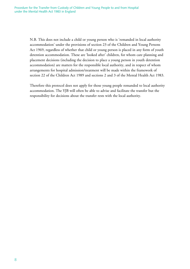N.B. This does not include a child or young person who is 'remanded in local authority accommodation' under the provisions of section 23 of the Children and Young Persons Act 1969, regardless of whether that child or young person is placed in any form of youth detention accommodation. These are 'looked after' children, for whom care planning and placement decisions (including the decision to place a young person in youth detention accommodation) are matters for the responsible local authority, and in respect of whom arrangements for hospital admission/treatment will be made within the framework of section 22 of the Children Act 1989 and sections 2 and 3 of the Mental Health Act 1983.

Therefore this protocol does not apply for those young people remanded to local authority accommodation. The YJB will often be able to advise and facilitate the transfer but the responsibility for decisions about the transfer rests with the local authority.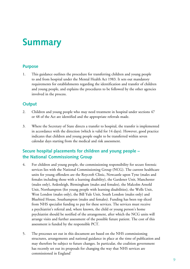# **Summary**

### **Purpose**

1. This guidance outlines the procedure for transferring children and young people to and from hospital under the Mental Health Act 1983. It sets out mandatory requirements for establishments regarding the identification and transfer of children and young people, and explains the procedures to be followed by the other agencies involved in the process.

### **Output**

- 2. Children and young people who may need treatment in hospital under sections 47 or 48 of the Act are identified and the appropriate referrals made.
- 3. Where the Secretary of State directs a transfer to hospital, the transfer is implemented in accordance with the direction (which is valid for 14 days). However, good practice indicates that children and young people ought to be transferred within seven calendar days starting from the medical and risk assessment.

## **Secure hospital placements for children and young people – the National Commissioning Group**

- 4. For children and young people, the commissioning responsibility for secure forensic services lies with the National Commissioning Group (NCG). The current healthcare units for young offenders are the Roycroft Clinic, Newcastle upon Tyne (males and females including those with a learning disability), the Gardener Unit, Manchester (males only), Ardenleigh, Birmingham (males and females), the Malcolm Arnold Unit, Northampton (for young people with learning disabilities), the Wells Unit, West London (males only), the Bill Yule Unit, South London (males only) and Bluebird House, Southampton (males and females). Funding has been top sliced from NHS specialist funding to pay for these services. The services must receive a psychiatrist's referral and, where known, the child or young person's home psychiatrist should be notified of the arrangement, after which the NCG units will arrange visits and further assessment of the possible future patient. The cost of this assessment is funded by the responsible PCT.
- 5. The processes set out in this document are based on the NHS commissioning structures, arrangements and national guidance in place at the time of publication and may therefore be subject to future changes. In particular, the coalition government has recently set out its proposals for changing the way that NHS services are commissioned in England'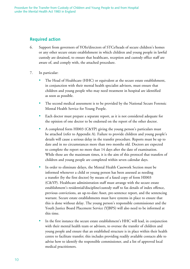### **Required action**

- 6. Support from governors of YOIs/directors of STCs/heads of secure children's homes or any other secure estate establishment in which children and young people in lawful custody are detained, to ensure that healthcare, reception and custody office staff are aware of, and comply with, the attached procedure.
- 7. In particular:
	- The Head of Healthcare (HHC) or equivalent at the secure estate establishment, in conjunction with their mental health specialist advisors, must ensure that children and young people who may need treatment in hospital are identified as soon as possible.
	- The second medical assessment is to be provided by the National Secure Forensic Mental Health Service for Young People.
	- Each doctor must prepare a separate report, as it is not considered adequate for the opinion of one doctor to be endorsed on the report of the other doctor.
	- A completed form HI003 (C&YP) giving the young person's particulars must be attached (refer to Appendix A). Failure to provide children and young people's details will cause a serious delay in the transfer procedure. Reports must be up to date and in no circumstances more than two months old. Doctors are expected to complete the report no more than 14 days after the date of examination. While these are the maximum times, it is the aim of this protocol that transfers of children and young people are completed within seven calendar days.
	- In order to eliminate delays, the Mental Health Casework Section must be informed whenever a child or young person has been assessed as needing a transfer (by the first doctor) by means of a faxed copy of form HI003 (C&YP). Healthcare administration staff must arrange with the secure estate establishment's residential/discipline/custody staff to fax details of index offence, previous convictions, an up-to-date Asset, pre-sentence report, and the sentencing warrant. Secure estate establishments must have systems in place to ensure that this is done without delay. The young person's responsible commissioner and the Youth Justice Board Placement Service (YJBPS) will also need to be informed at this time.
	- In the first instance the secure estate establishment's HHC will lead, in conjunction with their mental health team or advisors, to oversee the transfer of children and young people and ensure that an established structure is in place within their health centre to facilitate transfer; this includes providing readily available contacts able to advise how to identify the responsible commissioner, and a list of approved local medical practitioners.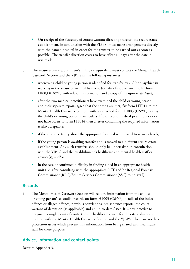- On receipt of the Secretary of State's warrant directing transfer, the secure estate establishment, in conjunction with the YJBPS, must make arrangements directly with the named hospital in order for the transfer to be carried out as soon as possible. The transfer direction ceases to have effect 14 days after the date it was made.
- 8. The secure estate establishment's HHC or equivalent must contact the Mental Health Casework Section and the YJBPS in the following instances:
	- whenever a child or young person is identified for transfer by a GP or psychiatrist working in the secure estate establishment (i.e. after first assessment), fax form HI003 (C&YP) with relevant information and a copy of the up-to-date Asset;
	- after the two medical practitioners have examined the child or young person and their separate reports agree that the criteria are met, fax form HT014 to the Mental Health Casework Section, with an attached form HI003 (C&YP) noting the child's or young person's particulars. If the second medical practitioner does not have access to form HT014 then a letter containing the required information is also acceptable;
	- if there is uncertainty about the appropriate hospital with regard to security levels;
	- if the young person is awaiting transfer and is moved to a different secure estate establishment. Any such transfers should only be undertaken in consultation with the YJBPS and the establishment's healthcare and mental health staff or advisor(s); and/or
	- in the case of continued difficulty in finding a bed in an appropriate health unit (i.e. after consulting with the appropriate PCT and/or Regional Forensic Commissioner (RFC)/Secure Services Commissioner (SSC) to no avail).

#### **Records**

9. The Mental Health Casework Section will require information from the child's or young person's custodial records on form H1003 (C&YP), details of the index offence or alleged offence, previous convictions, pre-sentence reports, the court warrant of detention (as applicable) and an up-to-date Asset. It is best practice to designate a single point of contact in the healthcare centre for the establishment's dealings with the Mental Health Casework Section and the YJBPS. There are no data protection issues which prevent this information from being shared with healthcare staff for these purposes.

### **Advice, information and contact points**

Refer to Appendix 3.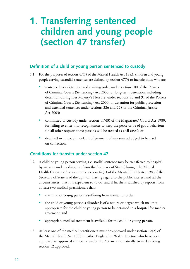# **1. Transferring sentenced children and young people (section 47 transfer)**

### **Definition of a child or young person sentenced to custody**

- 1.1 For the purposes of section 47(1) of the Mental Health Act 1983, children and young people serving custodial sentences are defined by section 47(5) to include those who are:
	- sentenced to a detention and training order under section 100 of the Powers of Criminal Courts (Sentencing) Act 2000, or long-term detention, including detention during Her Majesty's Pleasure, under sections 90 and 91 of the Powers of Criminal Courts (Sentencing) Act 2000, or detention for public protection and extended sentences under sections 226 and 228 of the Criminal Justice Act 2003;
	- committed to custody under section 115(3) of the Magistrates' Courts Act 1980, for failing to enter into recognisances to keep the peace or be of good behaviour (in all other respects these persons will be treated as civil cases); or
	- detained in custody in default of payment of any sum adjudged to be paid on conviction.

# **Conditions for transfer under section 47**

- 1.2 A child or young person serving a custodial sentence may be transferred to hospital by warrant under a direction from the Secretary of State (through the Mental Health Casework Section under section 47(1) of the Mental Health Act 1983 if the Secretary of State is of the opinion, having regard to the public interest and all the circumstances, that it is expedient so to do, and if he/she is satisfied by reports from at least two medical practitioners that:
	- the child or young person is suffering from mental disorder;
	- the child or young person's disorder is of a nature or degree which makes it appropriate for the child or young person to be detained in a hospital for medical treatment; and
	- appropriate medical treatment is available for the child or young person.
- 1.3 At least one of the medical practitioners must be approved under section 12(2) of the Mental Health Act 1983 in either England or Wales. Doctors who have been approved as 'approved clinicians' under the Act are automatically treated as being section 12 approved.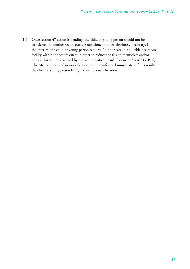1.4 Once section 47 action is pending, the child or young person should not be transferred to another secure estate establishment unless absolutely necessary. If, in the interim, the child or young person requires 24-hour care in a suitable healthcare facility within the secure estate in order to reduce the risk to themselves and/or others, this will be arranged by the Youth Justice Board Placement Service (YJBPS). The Mental Health Casework Section must be informed immediately if this results in the child or young person being moved to a new location.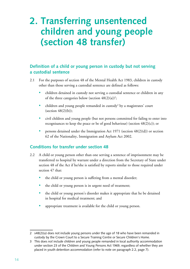# **2. Transferring unsentenced children and young people (section 48 transfer)**

# **Definition of a child or young person in custody but not serving a custodial sentence**

- 2.1 For the purposes of section 48 of the Mental Health Act 1983, children in custody other than those serving a custodial sentence are defined as follows:
	- children detained in custody not serving a custodial sentence or children in any of the three categories below (section  $48(2)(a)$ )<sup>2</sup>;
	- children and young people remanded in custody<sup>3</sup> by a magistrates' court (section  $48(2)(b)$ );
	- civil children and young people (but not persons committed for failing to enter into recognisances to keep the peace or be of good behaviour) (section 48(2)(c)); or
	- persons detained under the Immigration Act 1971 (section  $48(2)(d)$ ) or section 62 of the Nationality, Immigration and Asylum Act 2002.

### **Conditions for transfer under section 48**

- 2.2 A child or young person other than one serving a sentence of imprisonment may be transferred to hospital by warrant under a direction from the Secretary of State under section 48 of the Act if he/she is satisfied by reports similar to those required under section 47 that:
	- the child or young person is suffering from a mental disorder;
	- the child or young person is in urgent need of treatment;
	- the child or young person's disorder makes it appropriate that he be detained in hospital for medical treatment; and
	- appropriate treatment is available for the child or young person.

<sup>2</sup>  $s48(2)(a)$  does not include young persons under the age of 18 who have been remanded in custody by the Crown Court to a Secure Training Centre or Secure Children's Home.

<sup>3</sup> This does *not* include children and young people remanded in local authority accommodation under section 23 of the Children and Young Persons Act 1969, regardless of whether they are placed in youth detention accommodation (refer to note on paragraph 2.2, page 7).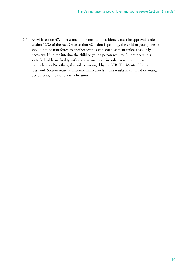2.3 As with section 47, at least one of the medical practitioners must be approved under section 12(2) of the Act. Once section 48 action is pending, the child or young person should not be transferred to another secure estate establishment unless absolutely necessary. If, in the interim, the child or young person requires 24-hour care in a suitable healthcare facility within the secure estate in order to reduce the risk to themselves and/or others, this will be arranged by the YJB. The Mental Health Casework Section must be informed immediately if this results in the child or young person being moved to a new location.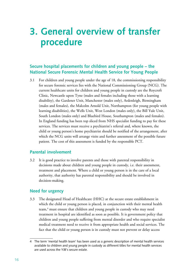# **3. General overview of transfer procedure**

# **Secure hospital placements for children and young people – the National Secure Forensic Mental Health Service for Young People**

3.1 For children and young people under the age of 18, the commissioning responsibility for secure forensic services lies with the National Commissioning Group (NCG). The current healthcare units for children and young people in custody are the Roycroft Clinic, Newcastle upon Tyne (males and females including those with a learning disability), the Gardener Unit, Manchester (males only), Ardenleigh, Birmingham (males and females), the Malcolm Arnold Unit, Northampton (for young people with learning disabilities), the Wells Unit, West London (males only), the Bill Yule Unit, South London (males only) and Bluebird House, Southampton (males and females). In England funding has been top sliced from NHS specialist funding to pay for these services. The services must receive a psychiatrist's referral and, where known, the child or young person's home psychiatrist should be notified of the arrangement, after which the NCG units will arrange visits and further assessment of the possible future patient. The cost of this assessment is funded by the responsible PCT.

#### **Parental involvement**

3.2 It is good practice to involve parents and those with parental responsibility in decisions made about children and young people in custody, i.e. their assessment, treatment and placement. Where a child or young person is in the care of a local authority, that authority has parental responsibility and should be involved in decision-making.

### **Need for urgency**

3.3 The designated Head of Healthcare (HHC) at the secure estate establishment in which the child or young person is placed, in conjunction with their mental health team,<sup>4</sup> must ensure that children and young people in custody who may need treatment in hospital are identified as soon as possible. It is government policy that children and young people suffering from mental disorder and who require specialist medical treatment need to receive it from appropriate health and social services. The fact that the child or young person is in custody must not prevent or delay access

<sup>4</sup> The term 'mental health team' has been used as a generic description of mental health services available to children and young people in custody as different titles for mental health services are used across the YJB's secure estate.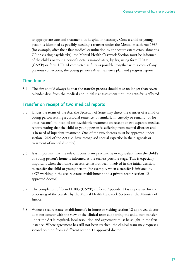to appropriate care and treatment, in hospital if necessary. Once a child or young person is identified as possibly needing a transfer under the Mental Health Act 1983 (for example, after their first medical examination by the secure estate establishment's GP or visiting psychiatrist), the Mental Health Casework Section must be informed of the child's or young person's details immediately, by fax, using form HI003 (C&YP) or form HT014 completed as fully as possible, together with a copy of any previous convictions, the young person's Asset, sentence plan and progress reports.

### **Time frame**

3.4 The aim should always be that the transfer process should take no longer than seven calendar days from the medical and initial risk assessment until the transfer is effected.

## **Transfer on receipt of two medical reports**

- 3.5 Under the terms of the Act, the Secretary of State may direct the transfer of a child or young person serving a custodial sentence, or similarly in custody or remand (or for other reasons), to hospital for psychiatric treatment on receipt of two separate medical reports stating that the child or young person is suffering from mental disorder and is in need of inpatient treatment. One of the two doctors must be approved under section 12(2) of the Act (i.e. have recognised special expertise in the diagnosis or treatment of mental disorder).
- 3.6 It is important that the relevant consultant psychiatrist or equivalent from the child's or young person's home is informed at the earliest possible stage. This is especially important when the home area service has not been involved in the initial decision to transfer the child or young person (for example, when a transfer is initiated by a GP working in the secure estate establishment and a private sector section 12 approved doctor).
- 3.7 The completion of form H1003 (C&YP) (refer to Appendix 1) is imperative for the processing of the transfer by the Mental Health Casework Section at the Ministry of Justice.
- 3.8 Where a secure estate establishment's in-house or visiting section 12 approved doctor does not concur with the view of the clinical team supporting the child that transfer under the Act is required, local resolution and agreement must be sought in the first instance. Where agreement has still not been reached, the clinical team may request a second opinion from a different section 12 approved doctor.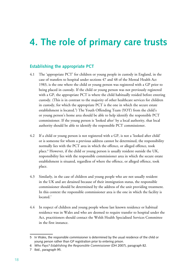# **4. The role of primary care trusts**

### **Establishing the appropriate PCT**

- 4.1 The 'appropriate PCT' for children or young people in custody in England, in the case of transfers to hospital under sections 47 and 48 of the Mental Health Act 1983, is the one where the child or young person was registered with a GP prior to being placed in custody. If the child or young person was not previously registered with a GP, the appropriate PCT is where the child habitually resided before entering custody. (This is in contrast to the majority of other healthcare services for children in custody, for which the appropriate PCT is the one in which the secure estate establishment is located.<sup>5</sup>) The Youth Offending Team (YOT) from the child's or young person's home area should be able to help identify the responsible PCT commissioner. If the young person is 'looked after' by a local authority, that local authority should be able to identify the responsible PCT commissioner.
- 4.2 If a child or young person is not registered with a GP, is not a 'looked after child' or is someone for whom a previous address cannot be determined, the responsibility normally lies with the PCT area in which the offence, or alleged offence, took place.6 However, if the child or young person is usually resident outside the UK, responsibility lies with the responsible commissioner area in which the secure estate establishment is situated, regardless of where the offence, or alleged offence, took place.
- 4.3 Similarly, in the case of children and young people who are not usually resident in the UK and are detained because of their immigration status, the responsible commissioner should be determined by the address of the unit providing treatment. In this context the responsible commissioner area is the one in which the facility is located.<sup>7</sup>
- 4.4 In respect of children and young people whose last known residence or habitual residence was in Wales and who are deemed to require transfer to hospital under the Act, practitioners should contact the Welsh Health Specialised Services Committee in the first instance.

<sup>5</sup> In Wales, the responsible commissioner is determined by the usual residence of the child or young person rather than GP registration prior to entering prison.

<sup>6</sup>  *Who Pays? Establishing the Responsible Commissioner* (DH 2007), paragraph 82.

<sup>7</sup> Ibid., paragraph 95.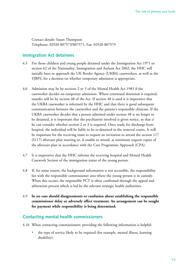Contact details: Susan Thompson Telephone: 02920 807573/807571; Fax: 02920 807579

### **Immigration Act detainees**

- 4.5 For those children and young people detained under the Immigration Act 1971 or section 62 of the Nationality, Immigration and Asylum Act 2002, the HHC will initially have to approach the UK Border Agency (UKBA) caseworkers, as well as the YJBPS, for a decision on whether temporary admission is appropriate.
- 4.6 Admission may be by sections 2 or 3 of the Mental Health Act 1983 if the caseworker decides on temporary admission. Where continued detention is required, transfer will be by section 48 of the Act. If section 48 is used it is imperative that the UKBA caseworker is informed by the HHC and that there is good subsequent communication between the caseworker and the patient's responsible clinician. If the UKBA caseworker decides that a person admitted under section 48 is no longer to be detained, it is important that the psychiatrist involved is given notice, so that s/ he can consider whether section 2 or 3 is required. Once ready for discharge from hospital, the individual will be liable to be re-detained in the removal centre. It will be important for the receiving team to request an invitation to attend the section 117 (S117) aftercare plan meeting or, if unable to attend, at minimum request copies of the aftercare plan in accordance with the Care Programme Approach (CPA).
- 4.7 It is imperative that the HHC informs the receiving hospital and Mental Health Casework Section of the immigration status of the young person.
- 4.8 If, for some reason, the background information is not accessible, the responsibility lies with the responsible commissioner area where the young person is in custody. When this occurs, the responsible PCT is often confirmed through the appeal and arbitration process which is led by the relevant strategic health authorities.
- 4.9 **In no case should disagreements or confusion about establishing the responsible commissioner delay or adversely affect treatment. An arrangement can be sought for payment while responsibility is being determined.**

#### **Contacting mental health commissioners**

- 4.10 When contacting commissioners, providing the following information is helpful:
	- the type of service likely to be required (for example, mental illness, learning disability);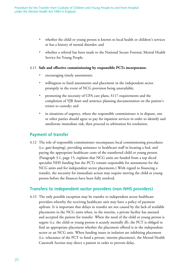- whether the child or young person is known to local health or children's services or has a history of mental disorder; and
- whether a referral has been made to the National Secure Forensic Mental Health Service for Young People.

#### 4.11 **Safe and effective commissioning by responsible PCTs incorporates:**

- encouraging timely assessments;
- willingness to fund assessments and placement in the independent sector promptly in the event of NCG provision being unavailable;
- promoting the necessity of CPA care plans, S117 requirements and the completion of YJB Asset and sentence planning documentation on the patient's return to custody; and
- in situations of urgency, where the responsible commissioner is in dispute, one or other parties should agree to pay for inpatient services in order to identify and ameliorate immediate risk, then proceed to arbitration for resolution.

#### **Payment of transfer**

4.12 The role of responsible commissioner encompasses local commissioning procedures (i.e. gate-keeping), providing assistance to healthcare staff in locating a bed, and paying the appropriate healthcare costs of the transferred child or young person. (Paragraph 3.1, page 15, explains that NCG units are funded from a top sliced specialist NHS funding but the PCTs remain responsible for assessments for the NCG units and for independent sector placements.) With regard to financing a transfer, the necessity for immediate action may require moving the child or young person before the finances have been fully resolved.

#### **Transfers to independent sector providers (non-NHS providers)**

4.13 The only possible exception may be transfer to independent sector healthcare providers whereby the receiving healthcare unit may have a policy of payment upfront. It is important that delays in transfer are not caused by the lack of available placements in the NCG units when, in the interim, a private facility has assessed and accepted the patient for transfer. When the need of the child or young person is urgent (i.e. the child or young person is acutely mentally ill), the PCT is obliged to find an appropriate placement whether the placement offered is in the independent sector or an NCG unit. When funding issues in isolation are inhibiting placement (i.e. reluctance of the PCT to fund a private, interim placement), the Mental Health Casework Section may direct a patient in order to prevent delay.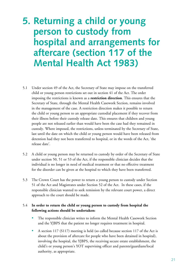# **5. Returning a child or young person to custody from hospital and arrangements for aftercare (section 117 of the Mental Health Act 1983)**

- 5.1 Under section 49 of the Act, the Secretary of State may impose on the transferred child or young person restrictions set out in section 41 of the Act. The order imposing the restrictions is known as a **restriction direction**. This ensures that the Secretary of State, through the Mental Health Casework Section, remains involved in the management of the case. A restriction direction makes it possible to return the child or young person to an appropriate custodial placement if they recover from their illness before their custody release date. This ensures that children and young people are not released earlier than would have been the case had they remained in custody. Where imposed, the restrictions, unless terminated by the Secretary of State, last until the date on which the child or young person would have been released from detention had they not been transferred to hospital, or in the words of the Act, 'the release date'.
- 5.2 A child or young person may be returned to custody by order of the Secretary of State under section 50, 51 or 53 of the Act, if the responsible clinician decides that the individual is no longer in need of medical treatment or that no effective treatment for the disorder can be given at the hospital to which they have been transferred.
- 5.3 The Crown Court has the power to return a young person to custody under Section 51 of the Act and Magistrates under Section 52 of the Act. In these cases, if the responsible clinician wanted to seek remission by the relevant court power, a direct approach to the court should be made.

#### 5.4 **In order to return the child or young person to custody from hospital the following actions should be undertaken:**

- The responsible clinician writes to inform the Mental Health Casework Section and the YJBPS that the patient no longer requires treatment in hospital.
- A section 117 (S117) meeting is held (so called because section 117 of the Act is about the provision of aftercare for people who have been detained in hospital), involving the hospital, the YJBPS, the receiving secure estate establishment, the child's or young person's YOT supervising officer and parents/guardians/local authority, as appropriate.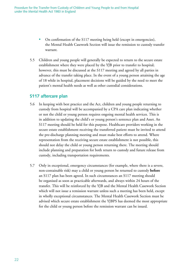- On confirmation of the S117 meeting being held (except in emergencies), the Mental Health Casework Section will issue the remission to custody transfer warrant.
- 5.5 Children and young people will generally be expected to return to the secure estate establishment where they were placed by the YJB prior to transfer to hospital; however, this must be discussed at the S117 meeting and agreed by all parties in advance of the transfer taking place. In the event of a young person attaining the age of 18 while in hospital, placement decisions will be guided by the need to meet the patient's mental health needs as well as other custodial considerations.

#### **S117 aftercare plan**

- 5.6 In keeping with best practice and the Act, children and young people returning to custody from hospital will be accompanied by a CPA care plan indicating whether or not the child or young person requires ongoing mental health services. This is in addition to updating the child's or young person's sentence plan and Asset. An S117 meeting should be held for this purpose. Healthcare providers working in the secure estate establishment receiving the transferred patient must be invited to attend the pre-discharge planning meeting and must make best efforts to attend. Where representation from the receiving secure estate establishment is not possible, this should not delay the child or young person returning there. The meeting should include planning and preparation for both return to custody and future release from custody, including transportation requirements.
- 5.7 Only in exceptional, emergency circumstances (for example, where there is a severe, non-containable risk) may a child or young person be returned to custody **before** an S117 plan has been agreed. In such circumstances an S117 meeting should be organised as soon as practicable afterwards, and always within 24 hours of the transfer. This will be reinforced by the YJB and the Mental Health Casework Section which will not issue a remission warrant unless such a meeting has been held, except in wholly exceptional circumstances. The Mental Health Casework Section must be advised which secure estate establishment the YJBPS has deemed the most appropriate for the child or young person before the remission warrant can be issued.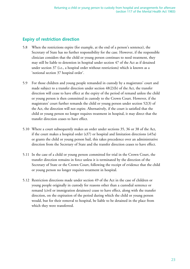### **Expiry of restriction direction**

- 5.8 When the restrictions expire (for example, at the end of a person's sentence), the Secretary of State has no further responsibility for the case. However, if the responsible clinician considers that the child or young person continues to need treatment, they may still be liable to detention in hospital under section 47 of the Act as if detained under section 37 (i.e., a hospital order without restrictions) which is known as a 'notional section 37 hospital order'.
- 5.9 For those children and young people remanded in custody by a magistrates' court and made subject to a transfer direction under section 48(2)(b) of the Act, the transfer direction will cease to have effect at the expiry of the period of remand unless the child or young person is then committed in custody to the Crown Court. However, if the magistrates' court further remands the child or young person under section 52(3) of the Act, the direction will not expire. Alternatively, if the court is satisfied that the child or young person no longer requires treatment in hospital, it may direct that the transfer direction ceases to have effect.
- 5.10 Where a court subsequently makes an order under sections 35, 36 or 38 of the Act, if the court makes a hospital order (s37) or hospital and limitation directions (s45a) or grants the child or young person bail, this takes precedence over an administrative direction from the Secretary of State and the transfer direction ceases to have effect.
- 5.11 In the case of a child or young person committed for trial in the Crown Court, the transfer direction remains in force unless it is terminated by the direction of the Secretary of State or the Crown Court, following the receipt of evidence that the child or young person no longer requires treatment in hospital.
- 5.12 Restriction directions made under section 49 of the Act in the case of children or young people originally in custody for reasons other than a custodial sentence or remand (civil or immigration detainees) cease to have effect, along with the transfer direction, on the expiration of the period during which the child or young person would, but for their removal to hospital, be liable to be detained in the place from which they were transferred.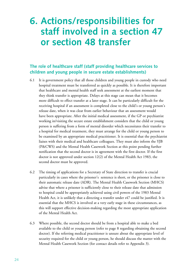# **6. Actions/responsibilities for staff involved in a section 47 or section 48 transfer**

# **The role of healthcare staff (staff providing healthcare services to children and young people in secure estate establishments)**

- 6.1 It is government policy that all those children and young people in custody who need hospital treatment must be transferred as quickly as possible. It is therefore important that healthcare and mental health staff seek assessment at the earliest moment that they think transfer is appropriate. Delays at this stage can mean that it becomes more difficult to effect transfer at a later stage. It can be particularly difficult for the receiving hospital if an assessment is completed close to the child's or young person's release date, when it was clear from earlier behaviour that an assessment would have been appropriate. After the initial medical assessment, if the GP or psychiatrist working in/visiting the secure estate establishment considers that the child or young person is suffering from a form of mental disorder which necessitates their transfer to a hospital for medical treatment, they must arrange for the child or young person to be examined by an appropriate medical practitioner. It is essential that the psychiatrist liaises with their medical and healthcare colleagues. They must also inform the YJB (P&CWS) and the Mental Health Casework Section at this point pending further notification that the second doctor is in agreement with the first doctor. If the first doctor is not approved under section 12(2) of the Mental Health Act 1983, the second doctor must be approved.
- 6.2 The timing of applications for a Secretary of State direction to transfer is crucial particularly in cases where the prisoner's sentence is short, or the prisoner is close to their automatic release date (ADR). The Mental Health Casework Section (MHCS) advise that where a prisoner is sufficiently close to their release date that admission to hospital could be appropriately achieved using civil powers of the 1983 Mental Health Act, it is unlikely that a directing a transfer under s47 could be justified. It is essential that the MHCS is involved at a very early stage in these circumstances, as this will support effective decision-making regarding the most appropriate application of the Mental Health Act.
- 6.3 Where possible, the second doctor should be from a hospital able to make a bed available to the child or young person (refer to page 8 regarding obtaining the second doctor). If the referring medical practitioner is unsure about the appropriate level of security required for the child or young person, he should discuss the matter with the Mental Health Casework Section (for contact details refer to Appendix 3).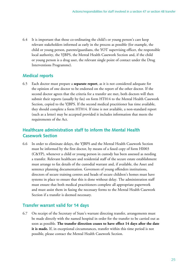6.4 It is important that those co-ordinating the child's or young person's care keep relevant stakeholders informed as early in the process as possible (for example, the child or young person, parents/guardians, the YOT supervising officer, the responsible local authority, the YJBPS, the Mental Health Casework Section and, if the child or young person is a drug user, the relevant single point of contact under the Drug Interventions Programme).

### **Medical reports**

6.5 Each doctor must prepare a **separate report**, as it is not considered adequate for the opinion of one doctor to be endorsed on the report of the other doctor. If the second doctor agrees that the criteria for a transfer are met, both doctors will then submit their reports (usually by fax) on form HT014 to the Mental Health Casework Section, copied to the YJBPS. If the second medical practitioner has time available, they should complete a form HT014. If time is not available, a non-standard report (such as a letter) may be accepted provided it includes information that meets the requirements of the Act.

### **Healthcare administration staff to inform the Mental Health Casework Section**

6.6 In order to eliminate delays, the YJBPS and the Mental Health Casework Section must be informed by the first doctor, by means of a faxed copy of form HI003 (C&YP), whenever a child or young person in custody has been assessed as needing a transfer. Relevant healthcare and residential staff of the secure estate establishment must arrange to fax details of the custodial warrant and, if available, the Asset and sentence planning documentation. Governors of young offenders institutions, directors of secure training centres and heads of secure children's homes must have systems in place to ensure that this is done without delay. The administration staff must ensure that both medical practitioners complete all appropriate paperwork and must assist them in faxing the necessary forms to the Mental Health Casework Section if a transfer is deemed necessary.

### **Transfer warrant valid for 14 days**

6.7 On receipt of the Secretary of State's warrant directing transfer, arrangements must be made directly with the named hospital in order for the transfer to be carried out as soon as possible. **The transfer direction ceases to have effect 14 days after the date it is made.** If, in exceptional circumstances, transfer within this time period is not possible, please contact the Mental Health Casework Section.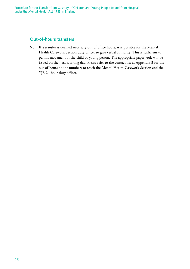### **Out-of-hours transfers**

6.8 If a transfer is deemed necessary out of office hours, it is possible for the Mental Health Casework Section duty officer to give verbal authority. This is sufficient to permit movement of the child or young person. The appropriate paperwork will be issued on the next working day. Please refer to the contact list at Appendix 3 for the out-of-hours phone numbers to reach the Mental Health Casework Section and the YJB 24-hour duty officer.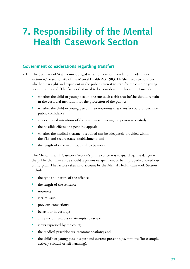# **7. Responsibility of the Mental Health Casework Section**

### **Government considerations regarding transfers**

- 7.1 The Secretary of State **is not obliged** to act on a recommendation made under section 47 or section 48 of the Mental Health Act 1983. He/she needs to consider whether it is right and expedient in the public interest to transfer the child or young person to hospital. The factors that need to be considered in this context include:
	- whether the child or young person presents such a risk that he/she should remain in the custodial institution for the protection of the public;
	- whether the child or young person is so notorious that transfer could undermine public confidence;
	- any expressed intentions of the court in sentencing the person to custody;
	- the possible effects of a pending appeal;
	- whether the medical treatment required can be adequately provided within the YJB and secure estate establishment; and
	- the length of time in custody still to be served.

The Mental Health Casework Section's prime concern is to guard against danger to the public that may ensue should a patient escape from, or be improperly allowed out of, hospital. The factors taken into account by the Mental Health Casework Section include:

- the type and nature of the offence;
- the length of the sentence;
- notoriety;
- victim issues;
- previous convictions;
- behaviour in custody;
- any previous escapes or attempts to escape;
- views expressed by the court;
- the medical practitioners' recommendations; and
- the child's or young person's past and current presenting symptoms (for example, actively suicidal or self-harming).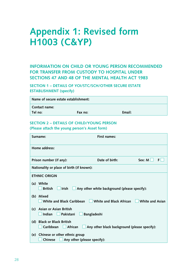# **Appendix 1: Revised form H1003 (C&YP)**

## **INFORMATION ON CHILD OR YOUNG PERSON RECOMMENDED FOR TRANSFER FROM CUSTODY TO HOSPITAL UNDER SECTIONS 47 AND 48 OF THE MENTAL HEALTH ACT 1983**

**SECTION 1 – DETAILS OF YOI/STC/SCH/OTHER SECURE ESTATE ESTABLISHMENT (specify)**

| Name of secure estate establishment: |         |        |
|--------------------------------------|---------|--------|
| Contact name:                        |         |        |
| Tel no:                              | Fax no: | Email: |

#### **SECTION 2 – DETAILS OF CHILD/YOUNG PERSON**

**(Please attach the young person's Asset form)**

| Surname:                                            |                                                                  | <b>First names:</b>                          |                        |
|-----------------------------------------------------|------------------------------------------------------------------|----------------------------------------------|------------------------|
| Home address:                                       |                                                                  |                                              |                        |
|                                                     | Sex: $M \Box$<br>Prison number (if any):<br>Date of birth:<br>F. |                                              |                        |
| Nationality or place of birth (if known):           |                                                                  |                                              |                        |
| <b>ETHNIC ORIGIN</b>                                |                                                                  |                                              |                        |
| White<br>(a)<br><b>British</b>                      | Irish                                                            | Any other white background (please specify): |                        |
| (b)<br>Mixed                                        | White and Black Caribbean                                        | White and Black African                      | <b>White and Asian</b> |
| Asian or Asian British<br>(c)<br>Indian             | Pakistani<br><b>Bangladeshi</b>                                  |                                              |                        |
| <b>Black or Black British</b><br>(d)<br>Caribbean   | African                                                          | Any other black background (please specify): |                        |
| (e) Chinese or other ethnic group<br><b>Chinese</b> | Any other (please specify):                                      |                                              |                        |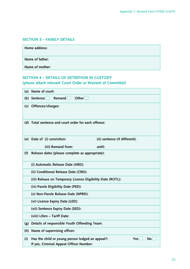#### **SECTION 3 – FAMILY DETAILS**

| Home address:   |  |
|-----------------|--|
| Name of father: |  |
| Name of mother: |  |

#### **SECTION 4 – DETAILS OF DETENTION IN CUSTODY (please attach relevant Court Order or Warrant of Committal)**

| (a)          | Name of court:                                                                                                   |  |
|--------------|------------------------------------------------------------------------------------------------------------------|--|
| (b) Sentence | <b>Remand</b><br>Other $\Box$                                                                                    |  |
|              | (c) Offences/charges:                                                                                            |  |
|              | (d) Total sentence and court order for each offence:                                                             |  |
|              | (e) Date of (i) conviction:<br>(ii) sentence (if different):                                                     |  |
|              | (iii) Remand from:<br>until:                                                                                     |  |
| (f)          | Release dates (please complete as appropriate):                                                                  |  |
|              | (i) Automatic Release Date (ARD):                                                                                |  |
|              | (ii) Conditional Release Date (CRD):                                                                             |  |
|              | (iii) Release on Temporary Licence Eligibility Date (ROTL):                                                      |  |
|              | (iv) Parole Eligibility Date (PED):                                                                              |  |
|              | (v) Non-Parole Release Date (NPRD):                                                                              |  |
|              | (vi) Licence Expiry Date (LED):                                                                                  |  |
|              | (vii) Sentence Expiry Date (SED):                                                                                |  |
|              | (viii) Lifers - Tariff Date:                                                                                     |  |
| (g)          | Details of responsible Youth Offending Team:                                                                     |  |
| (h)          | Name of supervising officer:                                                                                     |  |
| (i)          | Has the child or young person lodged an appeal?:<br><b>No</b><br>Yes:<br>If yes, Criminal Appeal Officer Number: |  |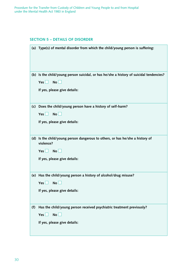#### **SECTION 5 – DETAILS OF DISORDER**

|     | (a) Type(s) of mental disorder from which the child/young person is suffering:                              |
|-----|-------------------------------------------------------------------------------------------------------------|
|     | (b) Is the child/young person suicidal, or has he/she a history of suicidal tendencies?<br>No<br>Yes $\Box$ |
|     |                                                                                                             |
|     | If yes, please give details:                                                                                |
| (c) | Does the child/young person have a history of self-harm?                                                    |
|     | No<br>Yes $\Box$                                                                                            |
|     | If yes, please give details:                                                                                |
|     |                                                                                                             |
| (d) | Is the child/young person dangerous to others, or has he/she a history of<br>violence?                      |
|     | $Yes \Box No \Box$                                                                                          |
|     | If yes, please give details:                                                                                |
|     |                                                                                                             |
|     | (e) Has the child/young person a history of alcohol/drug misuse?                                            |
|     | No<br>Yes                                                                                                   |
|     | If yes, please give details:                                                                                |
|     |                                                                                                             |
| (f) | Has the child/young person received psychiatric treatment previously?                                       |
|     | No<br>Yes                                                                                                   |
|     | If yes, please give details:                                                                                |
|     |                                                                                                             |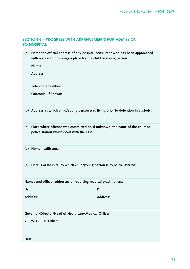### **SECTION 6 – PROGRESS WITH ARRANGEMENTS FOR ADMISSION TO HOSPITAL**

**Contract Contract Contract** 

| (a)                                                   | Name the official address of any hospital consultant who has been approached<br>with a view to providing a place for the child or young person: |  |
|-------------------------------------------------------|-------------------------------------------------------------------------------------------------------------------------------------------------|--|
|                                                       | Name:                                                                                                                                           |  |
|                                                       | <b>Address:</b>                                                                                                                                 |  |
|                                                       | Telephone number:                                                                                                                               |  |
|                                                       | Outcome, if known:                                                                                                                              |  |
|                                                       | (b) Address at which child/young person was living prior to detention in custody:                                                               |  |
| (c)                                                   | Place where offence was committed or, if unknown, the name of the court or<br>police station which dealt with the case:                         |  |
|                                                       | (d) Home health area:                                                                                                                           |  |
|                                                       | (e) Details of hospital to which child/young person is to be transferred:                                                                       |  |
|                                                       | Names and official addresses of reporting medical practitioners:                                                                                |  |
| Dr                                                    | Dr                                                                                                                                              |  |
|                                                       | <b>Address:</b><br><b>Address:</b>                                                                                                              |  |
| Governor/Director/Head of Healthcare/Medical Officer: |                                                                                                                                                 |  |
|                                                       | YOI/STC/SCH/Other:                                                                                                                              |  |
| Date:                                                 |                                                                                                                                                 |  |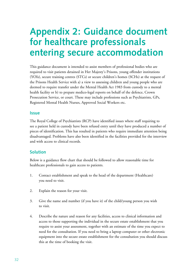# **Appendix 2: Guidance document for healthcare professionals entering secure accommodation**

This guidance document is intended to assist members of professional bodies who are required to visit patients detained in Her Majesty's Prisons, young offender institutions (YOIs), secure training centres (STCs) or secure children's homes (SCHs) at the request of the Prisons Health Service with a) a view to assessing children and young people who are deemed to require transfer under the Mental Health Act 1983 from custody to a mental health facility or b) to prepare medico-legal reports on behalf of the defence, Crown Prosecution Service, or court. These may include professions such as Psychiatrists, GPs, Registered Mental Health Nurses, Approved Social Workers etc.

#### **Issue**

The Royal College of Psychiatrists (RCP) have identified issues where staff requiring to see a patient held in custody have been refused entry until they have produced a number of pieces of identification. This has resulted in patients who require immediate attention being disadvantaged. Problems have also been identified in the facilities provided for the interview and with access to clinical records.

#### **Solution**

Below is a guidance flow chart that should be followed to allow reasonable time for healthcare professionals to gain access to patients.

- 1. Contact establishment and speak to the head of the department (Healthcare) you need to visit.
- 2. Explain the reason for your visit.
- 3. Give the name and number (if you have it) of the child/young person you wish to visit.
- 4. Describe the nature and reason for any facilities, access to clinical information and access to those supporting the individual in the secure estate establishment that you require to assist your assessment, together with an estimate of the time you expect to need for the consultation. If you need to bring a laptop computer or other electronic equipment into the secure estate establishment for the consultation you should discuss this at the time of booking the visit.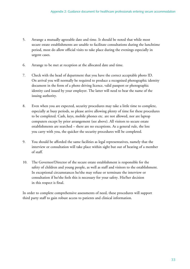- 5. Arrange a mutually agreeable date and time. It should be noted that while most secure estate establishments are unable to facilitate consultations during the lunchtime period, most do allow official visits to take place during the evenings especially in urgent cases.
- 6. Arrange to be met at reception at the allocated date and time.
- 7. Check with the head of department that you have the correct acceptable photo ID. On arrival you will normally be required to produce a recognised photographic identity document in the form of a photo driving licence, valid passport or photographic identity card issued by your employer. The latter will need to bear the name of the issuing authority.
- 8. Even when you are expected, security procedures may take a little time to complete, especially at busy periods, so please arrive allowing plenty of time for these procedures to be completed. Cash, keys, mobile phones etc. are not allowed, nor are laptop computers except by prior arrangement (see above). All visitors to secure estate establishments are searched – there are no exceptions. As a general rule, the less you carry with you, the quicker the security procedures will be completed.
- 9. You should be afforded the same facilities as legal representatives, namely that the interview or consultation will take place within sight but out of hearing of a member of staff.
- 10. The Governor/Director of the secure estate establishment is responsible for the safety of children and young people, as well as staff and visitors to the establishment. In exceptional circumstances he/she may refuse or terminate the interview or consultation if he/she feels this is necessary for your safety. His/her decision in this respect is final.

In order to complete comprehensive assessments of need, these procedures will support third party staff to gain robust access to patients and clinical information.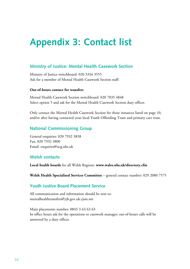# **Appendix 3: Contact list**

### **Ministry of Justice: Mental Health Casework Section**

Ministry of Justice switchboard: 020 3334 3555 Ask for a member of Mental Health Casework Section staff.

#### **Out-of-hours contact for transfers**

Mental Health Casework Section switchboard: 020 7035 4848 Select option 5 and ask for the Mental Health Casework Section duty officer.

Only contact the Mental Health Casework Section for those instances listed on page 10, and/or after having contacted your local Youth Offending Team and primary care trust.

### **National Commissioning Group**

General enquiries: 020 7932 3838 Fax: 020 7932 3800 Email: enquiries@ncg.nhs.uk

### **Welsh contacts**

**Local health boards** for all Welsh Regions: **www.wales.nhs.uk/directory.cfm**

**Welsh Health Specialised Services Committee** – general contact number: 029 2080 7575

#### **Youth Justice Board Placement Service**

All communication and information should be sent to: mentalhealthtransfers@yjb.gov.uk.cjsm.net

Main placements number: 0845 3 63 63 63 In office hours ask for the operations or casework manager; out-of-hours calls will be answered by a duty officer.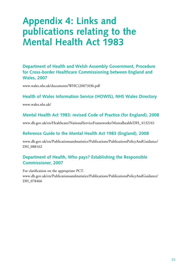# **Appendix 4: Links and publications relating to the Mental Health Act 1983**

**Department of Health and Welsh Assembly Government, Procedure for Cross-border Healthcare Commissioning between England and Wales, 2007**

www.wales.nhs.uk/documents/WHC(2007)036.pdf

#### **Health of Wales Information Service (HOWIS), NHS Wales Directory**

www.wales.nhs.uk/

### **Mental Health Act 1983: revised Code of Practice (for England), 2008**

www.dh.gov.uk/en/Healthcare/NationalServiceFrameworks/Mentalhealth/DH\_4132161

### **Reference Guide to the Mental Health Act 1983 (England), 2008**

www.dh.gov.uk/en/Publicationsandstatistics/Publications/PublicationsPolicyAndGuidance/ DH\_088162

### **Department of Health, Who pays? Establishing the Responsible Commissioner, 2007**

For clarification on the appropriate PCT. www.dh.gov.uk/en/Publicationsandstatistics/Publications/PublicationsPolicyAndGuidance/ DH 078466